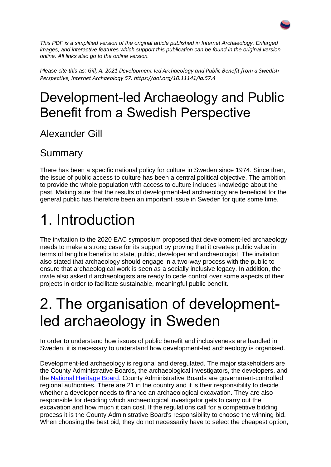*This PDF is a simplified version of the original article published in Internet Archaeology. Enlarged images, and interactive features which support this publication can be found in the original version online. All links also go to the online version.*

*Please cite this as: Gill, A. 2021 Development-led Archaeology and Public Benefit from a Swedish Perspective, Internet Archaeology 57. https://doi.org/10.11141/ia.57.4*

#### Development-led Archaeology and Public Benefit from a Swedish Perspective

Alexander Gill

#### Summary

There has been a specific national policy for culture in Sweden since 1974. Since then, the issue of public access to culture has been a central political objective. The ambition to provide the whole population with access to culture includes knowledge about the past. Making sure that the results of development-led archaeology are beneficial for the general public has therefore been an important issue in Sweden for quite some time.

## 1. Introduction

The invitation to the 2020 EAC symposium proposed that development-led archaeology needs to make a strong case for its support by proving that it creates public value in terms of tangible benefits to state, public, developer and archaeologist. The invitation also stated that archaeology should engage in a two-way process with the public to ensure that archaeological work is seen as a socially inclusive legacy. In addition, the invite also asked if archaeologists are ready to cede control over some aspects of their projects in order to facilitate sustainable, meaningful public benefit.

## 2. The organisation of developmentled archaeology in Sweden

In order to understand how issues of public benefit and inclusiveness are handled in Sweden, it is necessary to understand how development-led archaeology is organised.

Development-led archaeology is regional and deregulated. The major stakeholders are the County Administrative Boards, the archaeological investigators, the developers, and the [National Heritage Board.](https://www.raa.se/) County Administrative Boards are government-controlled regional authorities. There are 21 in the country and it is their responsibility to decide whether a developer needs to finance an archaeological excavation. They are also responsible for deciding which archaeological investigator gets to carry out the excavation and how much it can cost. If the regulations call for a competitive bidding process it is the County Administrative Board's responsibility to choose the winning bid. When choosing the best bid, they do not necessarily have to select the cheapest option,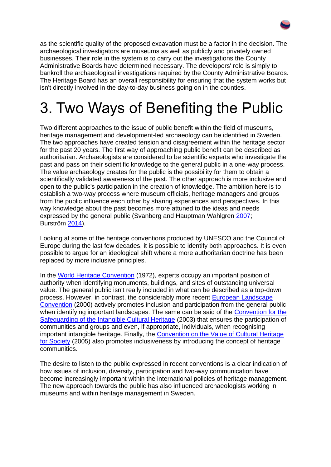as the scientific quality of the proposed excavation must be a factor in the decision. The archaeological investigators are museums as well as publicly and privately owned businesses. Their role in the system is to carry out the investigations the County Administrative Boards have determined necessary. The developers' role is simply to bankroll the archaeological investigations required by the County Administrative Boards. The Heritage Board has an overall responsibility for ensuring that the system works but isn't directly involved in the day-to-day business going on in the counties.

## 3. Two Ways of Benefiting the Public

Two different approaches to the issue of public benefit within the field of museums, heritage management and development-led archaeology can be identified in Sweden. The two approaches have created tension and disagreement within the heritage sector for the past 20 years. The first way of approaching public benefit can be described as authoritarian. Archaeologists are considered to be scientific experts who investigate the past and pass on their scientific knowledge to the general public in a one-way process. The value archaeology creates for the public is the possibility for them to obtain a scientifically validated awareness of the past. The other approach is more inclusive and open to the public's participation in the creation of knowledge. The ambition here is to establish a two-way process where museum officials, heritage managers and groups from the public influence each other by sharing experiences and perspectives. In this way knowledge about the past becomes more attuned to the ideas and needs expressed by the general public (Svanberg and Hauptman Wahlgren [2007;](https://intarch.ac.uk/journal/issue57/4gill/index.html#biblio) Burström [2014\)](https://intarch.ac.uk/journal/issue57/4gill/index.html#biblio).

Looking at some of the heritage conventions produced by UNESCO and the Council of Europe during the last few decades, it is possible to identify both approaches. It is even possible to argue for an ideological shift where a more authoritarian doctrine has been replaced by more inclusive principles.

In the [World Heritage Convention](https://whc.unesco.org/en/convention/) (1972), experts occupy an important position of authority when identifying monuments, buildings, and sites of outstanding universal value. The general public isn't really included in what can be described as a top-down process. However, in contrast, the considerably more recent [European Landscape](https://www.coe.int/en/web/landscape)  [Convention](https://www.coe.int/en/web/landscape) (2000) actively promotes inclusion and participation from the general public when identifying important landscapes. The same can be said of the Convention for the [Safeguarding of the Intangible Cultural Heritage](https://ich.unesco.org/en/convention) (2003) that ensures the participation of communities and groups and even, if appropriate, individuals, when recognising important intangible heritage. Finally, the [Convention on the Value of Cultural Heritage](https://www.coe.int/en/web/conventions/full-list/-/conventions/treaty/199)  [for Society](https://www.coe.int/en/web/conventions/full-list/-/conventions/treaty/199) (2005) also promotes inclusiveness by introducing the concept of heritage communities.

The desire to listen to the public expressed in recent conventions is a clear indication of how issues of inclusion, diversity, participation and two-way communication have become increasingly important within the international policies of heritage management. The new approach towards the public has also influenced archaeologists working in museums and within heritage management in Sweden.

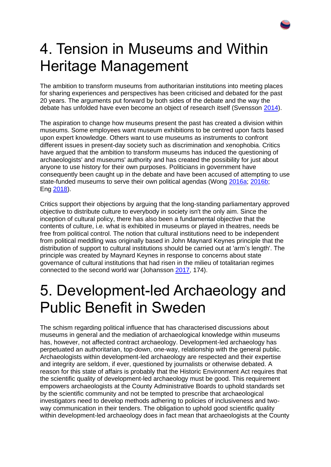## 4. Tension in Museums and Within Heritage Management

The ambition to transform museums from authoritarian institutions into meeting places for sharing experiences and perspectives has been criticised and debated for the past 20 years. The arguments put forward by both sides of the debate and the way the debate has unfolded have even become an object of research itself (Svensson [2014\)](https://intarch.ac.uk/journal/issue57/4gill/index.html#biblio).

The aspiration to change how museums present the past has created a division within museums. Some employees want museum exhibitions to be centred upon facts based upon expert knowledge. Others want to use museums as instruments to confront different issues in present-day society such as discrimination and xenophobia. Critics have argued that the ambition to transform museums has induced the questioning of archaeologists' and museums' authority and has created the possibility for just about anyone to use history for their own purposes. Politicians in government have consequently been caught up in the debate and have been accused of attempting to use state-funded museums to serve their own political agendas (Wong [2016a;](https://intarch.ac.uk/journal/issue57/4gill/index.html#biblio) [2016b;](https://intarch.ac.uk/journal/issue57/4gill/index.html#biblio) Eng [2018\)](https://intarch.ac.uk/journal/issue57/4gill/index.html#biblio).

Critics support their objections by arguing that the long-standing parliamentary approved objective to distribute culture to everybody in society isn't the only aim. Since the inception of cultural policy, there has also been a fundamental objective that the contents of culture, i.e. what is exhibited in museums or played in theatres, needs be free from political control. The notion that cultural institutions need to be independent from political meddling was originally based in John Maynard Keynes principle that the distribution of support to cultural institutions should be carried out at 'arm's length'. The principle was created by Maynard Keynes in response to concerns about state governance of cultural institutions that had risen in the milieu of totalitarian regimes connected to the second world war (Johansson [2017,](https://intarch.ac.uk/journal/issue57/4gill/index.html#biblio) 174).

## 5. Development-led Archaeology and Public Benefit in Sweden

The schism regarding political influence that has characterised discussions about museums in general and the mediation of archaeological knowledge within museums has, however, not affected contract archaeology. Development-led archaeology has perpetuated an authoritarian, top-down, one-way, relationship with the general public. Archaeologists within development-led archaeology are respected and their expertise and integrity are seldom, if ever, questioned by journalists or otherwise debated. A reason for this state of affairs is probably that the Historic Environment Act requires that the scientific quality of development-led archaeology must be good. This requirement empowers archaeologists at the County Administrative Boards to uphold standards set by the scientific community and not be tempted to prescribe that archaeological investigators need to develop methods adhering to policies of inclusiveness and twoway communication in their tenders. The obligation to uphold good scientific quality within development-led archaeology does in fact mean that archaeologists at the County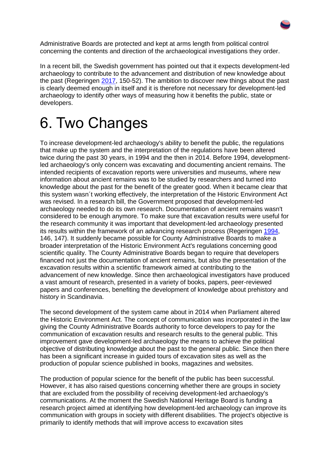Administrative Boards are protected and kept at arms length from political control concerning the contents and direction of the archaeological investigations they order.

In a recent bill, the Swedish government has pointed out that it expects development-led archaeology to contribute to the advancement and distribution of new knowledge about the past (Regeringen [2017,](https://intarch.ac.uk/journal/issue57/4gill/index.html#biblio) 150-52). The ambition to discover new things about the past is clearly deemed enough in itself and it is therefore not necessary for development-led archaeology to identify other ways of measuring how it benefits the public, state or developers.

#### 6. Two Changes

To increase development-led archaeology's ability to benefit the public, the regulations that make up the system and the interpretation of the regulations have been altered twice during the past 30 years, in 1994 and the then in 2014. Before 1994, developmentled archaeology's only concern was excavating and documenting ancient remains. The intended recipients of excavation reports were universities and museums, where new information about ancient remains was to be studied by researchers and turned into knowledge about the past for the benefit of the greater good. When it became clear that this system wasn´t working effectively, the interpretation of the Historic Environment Act was revised. In a research bill, the Government proposed that development-led archaeology needed to do its own research. Documentation of ancient remains wasn't considered to be enough anymore. To make sure that excavation results were useful for the research community it was important that development-led archaeology presented its results within the framework of an advancing research process (Regeringen [1994,](https://intarch.ac.uk/journal/issue57/4gill/index.html#biblio) 146, 147). It suddenly became possible for County Administrative Boards to make a broader interpretation of the Historic Environment Act's regulations concerning good scientific quality. The County Administrative Boards began to require that developers financed not just the documentation of ancient remains, but also the presentation of the excavation results within a scientific framework aimed at contributing to the advancement of new knowledge. Since then archaeological investigators have produced a vast amount of research, presented in a variety of books, papers, peer-reviewed papers and conferences, benefiting the development of knowledge about prehistory and history in Scandinavia.

The second development of the system came about in 2014 when Parliament altered the Historic Environment Act. The concept of communication was incorporated in the law giving the County Administrative Boards authority to force developers to pay for the communication of excavation results and research results to the general public. This improvement gave development-led archaeology the means to achieve the political objective of distributing knowledge about the past to the general public. Since then there has been a significant increase in guided tours of excavation sites as well as the production of popular science published in books, magazines and websites.

The production of popular science for the benefit of the public has been successful. However, it has also raised questions concerning whether there are groups in society that are excluded from the possibility of receiving development-led archaeology's communications. At the moment the Swedish National Heritage Board is funding a research project aimed at identifying how development-led archaeology can improve its communication with groups in society with different disabilities. The project's objective is primarily to identify methods that will improve access to excavation sites

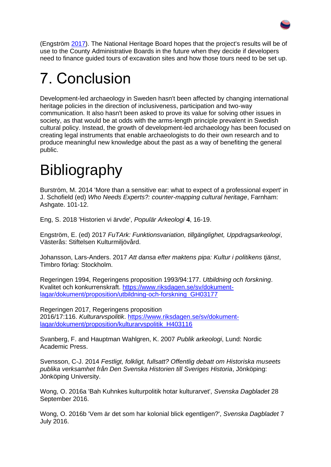(Engström [2017\)](https://intarch.ac.uk/journal/issue57/4gill/index.html#biblio). The National Heritage Board hopes that the project's results will be of use to the County Administrative Boards in the future when they decide if developers need to finance guided tours of excavation sites and how those tours need to be set up.

# 7. Conclusion

Development-led archaeology in Sweden hasn't been affected by changing international heritage policies in the direction of inclusiveness, participation and two-way communication. It also hasn't been asked to prove its value for solving other issues in society, as that would be at odds with the arms-length principle prevalent in Swedish cultural policy. Instead, the growth of development-led archaeology has been focused on creating legal instruments that enable archaeologists to do their own research and to produce meaningful new knowledge about the past as a way of benefiting the general public.

# **Bibliography**

Burström, M. 2014 'More than a sensitive ear: what to expect of a professional expert' in J. Schofield (ed) *Who Needs Experts?: counter-mapping cultural heritage*, Farnham: Ashgate. 101-12.

Eng, S. 2018 'Historien vi ärvde', *Populär Arkeologi* **4**, 16-19.

Engström, E. (ed) 2017 *FuTArk: Funktionsvariation, tillgänglighet, Uppdragsarkeologi*, Västerås: Stiftelsen Kulturmiljövård.

Johansson, Lars-Anders. 2017 *Att dansa efter maktens pipa: Kultur i politikens tjänst*, Timbro förlag: Stockholm.

Regeringen 1994, Regeringens proposition 1993/94:177. *Utbildning och forskning*. Kvalitet och konkurrenskraft. [https://www.riksdagen.se/sv/dokument](https://www.riksdagen.se/sv/dokument-lagar/dokument/proposition/utbildning-och-forskning_GH03177)[lagar/dokument/proposition/utbildning-och-forskning\\_GH03177](https://www.riksdagen.se/sv/dokument-lagar/dokument/proposition/utbildning-och-forskning_GH03177)

Regeringen 2017, Regeringens proposition 2016/17:116. *Kulturarvspolitik*. [https://www.riksdagen.se/sv/dokument](https://www.riksdagen.se/sv/dokument-lagar/dokument/proposition/kulturarvspolitik_H403116)[lagar/dokument/proposition/kulturarvspolitik\\_H403116](https://www.riksdagen.se/sv/dokument-lagar/dokument/proposition/kulturarvspolitik_H403116)

Svanberg, F. and Hauptman Wahlgren, K. 2007 *Publik arkeologi*, Lund: Nordic Academic Press.

Svensson, C-J. 2014 *Festligt, folkligt, fullsatt? Offentlig debatt om Historiska museets publika verksamhet från Den Svenska Historien till Sveriges Historia*, Jönköping: Jönköping University.

Wong, O. 2016a 'Bah Kuhnkes kulturpolitik hotar kulturarvet', *Svenska Dagbladet* 28 September 2016.

Wong, O. 2016b 'Vem är det som har kolonial blick egentligen?', *Svenska Dagbladet* 7 July 2016.